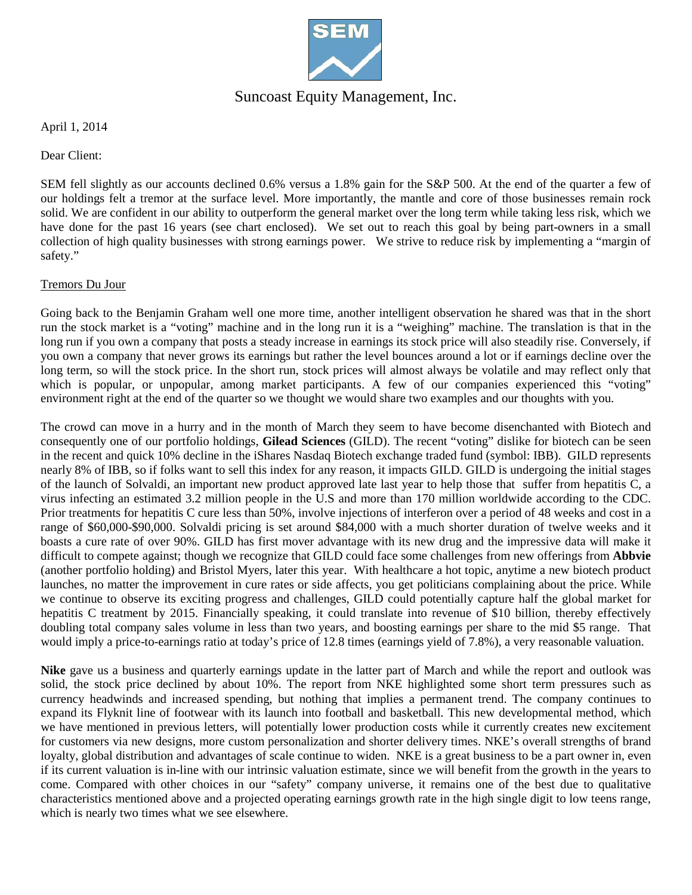

## Suncoast Equity Management, Inc.

April 1, 2014

Dear Client:

SEM fell slightly as our accounts declined 0.6% versus a 1.8% gain for the S&P 500. At the end of the quarter a few of our holdings felt a tremor at the surface level. More importantly, the mantle and core of those businesses remain rock solid. We are confident in our ability to outperform the general market over the long term while taking less risk, which we have done for the past 16 years (see chart enclosed). We set out to reach this goal by being part-owners in a small collection of high quality businesses with strong earnings power. We strive to reduce risk by implementing a "margin of safety."

#### Tremors Du Jour

Going back to the Benjamin Graham well one more time, another intelligent observation he shared was that in the short run the stock market is a "voting" machine and in the long run it is a "weighing" machine. The translation is that in the long run if you own a company that posts a steady increase in earnings its stock price will also steadily rise. Conversely, if you own a company that never grows its earnings but rather the level bounces around a lot or if earnings decline over the long term, so will the stock price. In the short run, stock prices will almost always be volatile and may reflect only that which is popular, or unpopular, among market participants. A few of our companies experienced this "voting" environment right at the end of the quarter so we thought we would share two examples and our thoughts with you.

The crowd can move in a hurry and in the month of March they seem to have become disenchanted with Biotech and consequently one of our portfolio holdings, **Gilead Sciences** (GILD). The recent "voting" dislike for biotech can be seen in the recent and quick 10% decline in the iShares Nasdaq Biotech exchange traded fund (symbol: IBB). GILD represents nearly 8% of IBB, so if folks want to sell this index for any reason, it impacts GILD. GILD is undergoing the initial stages of the launch of Solvaldi, an important new product approved late last year to help those that suffer from hepatitis C, a virus infecting an estimated 3.2 million people in the U.S and more than 170 million worldwide according to the CDC. Prior treatments for hepatitis C cure less than 50%, involve injections of interferon over a period of 48 weeks and cost in a range of \$60,000-\$90,000. Solvaldi pricing is set around \$84,000 with a much shorter duration of twelve weeks and it boasts a cure rate of over 90%. GILD has first mover advantage with its new drug and the impressive data will make it difficult to compete against; though we recognize that GILD could face some challenges from new offerings from **Abbvie** (another portfolio holding) and Bristol Myers, later this year. With healthcare a hot topic, anytime a new biotech product launches, no matter the improvement in cure rates or side affects, you get politicians complaining about the price. While we continue to observe its exciting progress and challenges, GILD could potentially capture half the global market for hepatitis C treatment by 2015. Financially speaking, it could translate into revenue of \$10 billion, thereby effectively doubling total company sales volume in less than two years, and boosting earnings per share to the mid \$5 range. That would imply a price-to-earnings ratio at today's price of 12.8 times (earnings yield of 7.8%), a very reasonable valuation.

**Nike** gave us a business and quarterly earnings update in the latter part of March and while the report and outlook was solid, the stock price declined by about 10%. The report from NKE highlighted some short term pressures such as currency headwinds and increased spending, but nothing that implies a permanent trend. The company continues to expand its Flyknit line of footwear with its launch into football and basketball. This new developmental method, which we have mentioned in previous letters, will potentially lower production costs while it currently creates new excitement for customers via new designs, more custom personalization and shorter delivery times. NKE's overall strengths of brand loyalty, global distribution and advantages of scale continue to widen. NKE is a great business to be a part owner in, even if its current valuation is in-line with our intrinsic valuation estimate, since we will benefit from the growth in the years to come. Compared with other choices in our "safety" company universe, it remains one of the best due to qualitative characteristics mentioned above and a projected operating earnings growth rate in the high single digit to low teens range, which is nearly two times what we see elsewhere.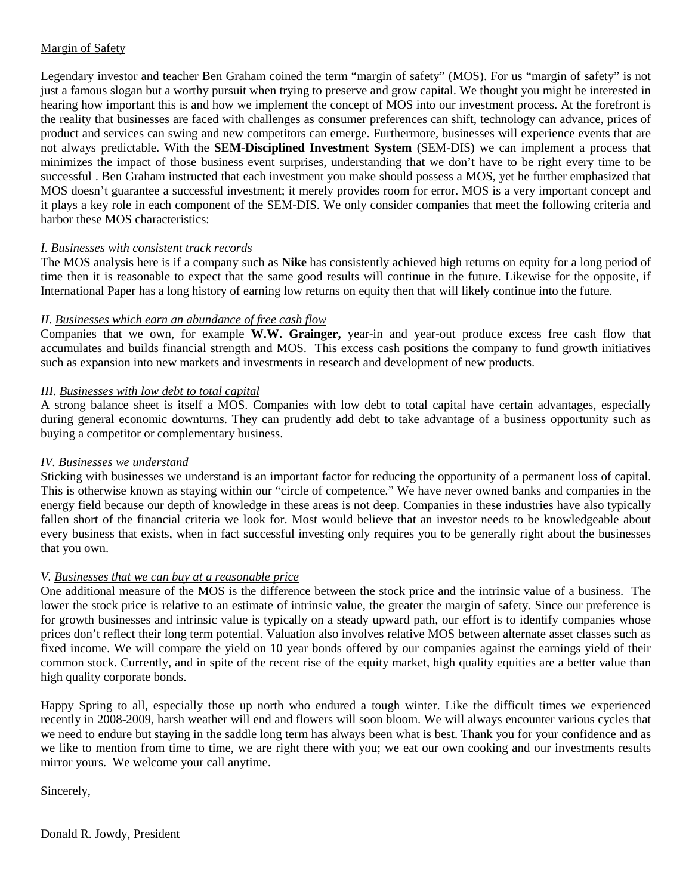### Margin of Safety

Legendary investor and teacher Ben Graham coined the term "margin of safety" (MOS). For us "margin of safety" is not just a famous slogan but a worthy pursuit when trying to preserve and grow capital. We thought you might be interested in hearing how important this is and how we implement the concept of MOS into our investment process. At the forefront is the reality that businesses are faced with challenges as consumer preferences can shift, technology can advance, prices of product and services can swing and new competitors can emerge. Furthermore, businesses will experience events that are not always predictable. With the **SEM-Disciplined Investment System** (SEM-DIS) we can implement a process that minimizes the impact of those business event surprises, understanding that we don't have to be right every time to be successful . Ben Graham instructed that each investment you make should possess a MOS, yet he further emphasized that MOS doesn't guarantee a successful investment; it merely provides room for error. MOS is a very important concept and it plays a key role in each component of the SEM-DIS. We only consider companies that meet the following criteria and harbor these MOS characteristics:

#### *I. Businesses with consistent track records*

The MOS analysis here is if a company such as **Nike** has consistently achieved high returns on equity for a long period of time then it is reasonable to expect that the same good results will continue in the future. Likewise for the opposite, if International Paper has a long history of earning low returns on equity then that will likely continue into the future.

#### *II. Businesses which earn an abundance of free cash flow*

Companies that we own, for example **W.W. Grainger,** year-in and year-out produce excess free cash flow that accumulates and builds financial strength and MOS. This excess cash positions the company to fund growth initiatives such as expansion into new markets and investments in research and development of new products.

#### *III. Businesses with low debt to total capital*

A strong balance sheet is itself a MOS. Companies with low debt to total capital have certain advantages, especially during general economic downturns. They can prudently add debt to take advantage of a business opportunity such as buying a competitor or complementary business.

#### *IV. Businesses we understand*

Sticking with businesses we understand is an important factor for reducing the opportunity of a permanent loss of capital. This is otherwise known as staying within our "circle of competence." We have never owned banks and companies in the energy field because our depth of knowledge in these areas is not deep. Companies in these industries have also typically fallen short of the financial criteria we look for. Most would believe that an investor needs to be knowledgeable about every business that exists, when in fact successful investing only requires you to be generally right about the businesses that you own.

#### *V. Businesses that we can buy at a reasonable price*

One additional measure of the MOS is the difference between the stock price and the intrinsic value of a business. The lower the stock price is relative to an estimate of intrinsic value, the greater the margin of safety. Since our preference is for growth businesses and intrinsic value is typically on a steady upward path, our effort is to identify companies whose prices don't reflect their long term potential. Valuation also involves relative MOS between alternate asset classes such as fixed income. We will compare the yield on 10 year bonds offered by our companies against the earnings yield of their common stock. Currently, and in spite of the recent rise of the equity market, high quality equities are a better value than high quality corporate bonds.

Happy Spring to all, especially those up north who endured a tough winter. Like the difficult times we experienced recently in 2008-2009, harsh weather will end and flowers will soon bloom. We will always encounter various cycles that we need to endure but staying in the saddle long term has always been what is best. Thank you for your confidence and as we like to mention from time to time, we are right there with you; we eat our own cooking and our investments results mirror yours. We welcome your call anytime.

Sincerely,